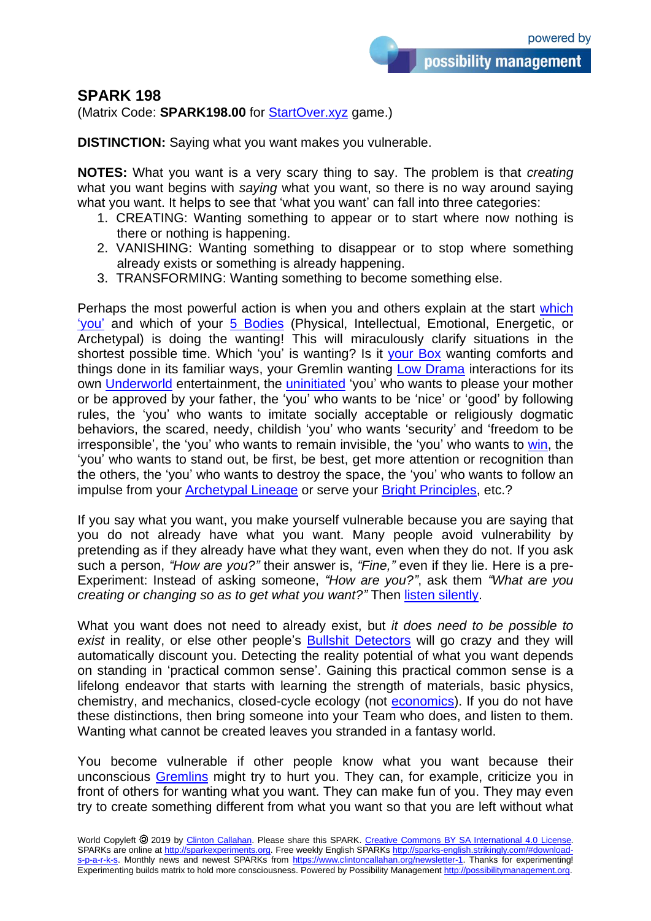possibility management

## **SPARK 198**

(Matrix Code: **SPARK198.00** for [StartOver.xyz](http://startover.xyz/) game.)

**DISTINCTION:** Saying what you want makes you vulnerable.

**NOTES:** What you want is a very scary thing to say. The problem is that *creating* what you want begins with *saying* what you want, so there is no way around saying what you want. It helps to see that 'what you want' can fall into three categories:

- 1. CREATING: Wanting something to appear or to start where now nothing is there or nothing is happening.
- 2. VANISHING: Wanting something to disappear or to stop where something already exists or something is already happening.
- 3. TRANSFORMING: Wanting something to become something else.

Perhaps the most powerful action is when you and others explain at the start [which](http://shiftidentity.mystrikingly.com/)  ['you'](http://shiftidentity.mystrikingly.com/) and which of your [5 Bodies](http://5bodies.xyz/) (Physical, Intellectual, Emotional, Energetic, or Archetypal) is doing the wanting! This will miraculously clarify situations in the shortest possible time. Which 'you' is wanting? Is it [your Box](http://boxtechnology.mystrikingly.com/) wanting comforts and things done in its familiar ways, your Gremlin wanting [Low Drama](http://lowdrama.mystrikingly.com/) interactions for its own [Underworld](http://3worlds.mystrikingly.com/) entertainment, the [uninitiated](http://6prisons.mystrikingly.com/) 'you' who wants to please your mother or be approved by your father, the 'you' who wants to be 'nice' or 'good' by following rules, the 'you' who wants to imitate socially acceptable or religiously dogmatic behaviors, the scared, needy, childish 'you' who wants 'security' and 'freedom to be irresponsible', the 'you' who wants to remain invisible, the 'you' who wants to [win,](http://3games.mystrikingly.com/) the 'you' who wants to stand out, be first, be best, get more attention or recognition than the others, the 'you' who wants to destroy the space, the 'you' who wants to follow an impulse from your [Archetypal Lineage](http://archetypallineage.xyz/) or serve your [Bright Principles,](http://brightprinciples.xyz/) etc.?

If you say what you want, you make yourself vulnerable because you are saying that you do not already have what you want. Many people avoid vulnerability by pretending as if they already have what they want, even when they do not. If you ask such a person, *"How are you?"* their answer is, *"Fine,"* even if they lie. Here is a pre-Experiment: Instead of asking someone, *"How are you?"*, ask them *"What are you creating or changing so as to get what you want?"* Then [listen silently.](http://4listenings.mystrikingly.com/)

What you want does not need to already exist, but *it does need to be possible to exist* in reality, or else other people's [Bullshit Detectors](http://bullshitdetector.mystrikingly.com/) will go crazy and they will automatically discount you. Detecting the reality potential of what you want depends on standing in 'practical common sense'. Gaining this practical common sense is a lifelong endeavor that starts with learning the strength of materials, basic physics, chemistry, and mechanics, closed-cycle ecology (not [economics\)](http://becomemoney.mystrikingly.com/). If you do not have these distinctions, then bring someone into your Team who does, and listen to them. Wanting what cannot be created leaves you stranded in a fantasy world.

You become vulnerable if other people know what you want because their unconscious [Gremlins](http://yourgremlin.xyz/) might try to hurt you. They can, for example, criticize you in front of others for wanting what you want. They can make fun of you. They may even try to create something different from what you want so that you are left without what